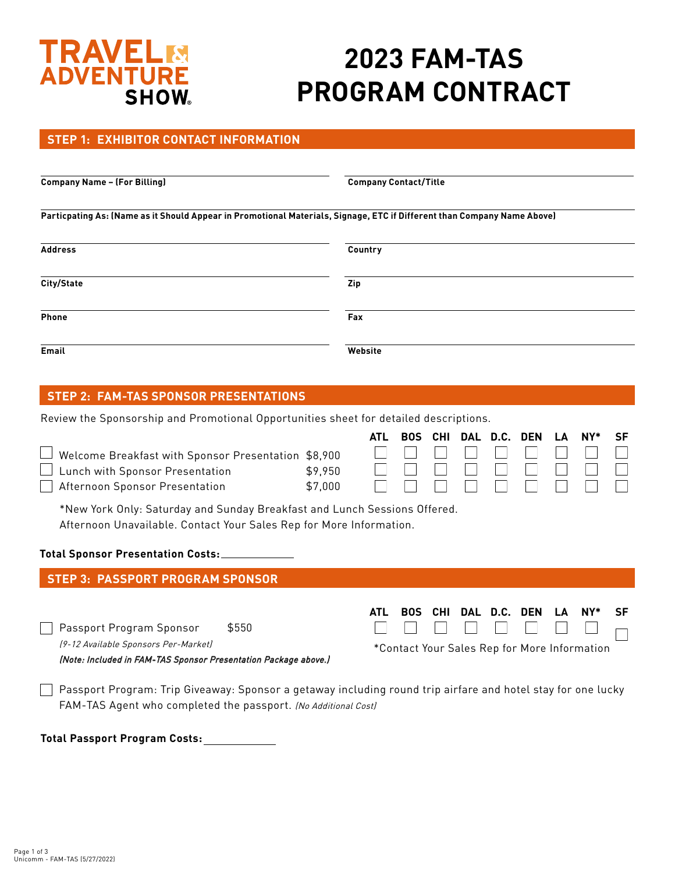# **TRAVEL DVFNTURF SHOW**

# **2023 FAM-TAS PROGRAM CONTRACT**

### **STEP 1: EXHIBITOR CONTACT INFORMATION**

**Company Name – (For Billing) Company Contact/Title** 

**Particpating As: (Name as it Should Appear in Promotional Materials, Signage, ETC if Different than Company Name Above)**

| <b>Address</b> | Country |  |  |  |  |  |
|----------------|---------|--|--|--|--|--|
| City/State     | Zip     |  |  |  |  |  |
| Phone          | Fax     |  |  |  |  |  |
| Email          | Website |  |  |  |  |  |

## **STEP 2: FAM-TAS SPONSOR PRESENTATIONS**

Review the Sponsorship and Promotional Opportunities sheet for detailed descriptions.

|                                                                                                                                                                                              |                    | ATL | <b>BOS</b> | <b>CHI</b> | <b>DAL</b> | D.C. | <b>DEN</b> | LΔ | $NY^*$                                       | SF |
|----------------------------------------------------------------------------------------------------------------------------------------------------------------------------------------------|--------------------|-----|------------|------------|------------|------|------------|----|----------------------------------------------|----|
| Welcome Breakfast with Sponsor Presentation<br>Lunch with Sponsor Presentation                                                                                                               | \$8,900<br>\$9,950 |     |            |            |            |      |            |    |                                              |    |
| Afternoon Sponsor Presentation                                                                                                                                                               | \$7,000            |     |            |            |            |      |            |    |                                              |    |
| *New York Only: Saturday and Sunday Breakfast and Lunch Sessions Offered.<br>Afternoon Unavailable. Contact Your Sales Rep for More Information.<br><b>Total Sponsor Presentation Costs:</b> |                    |     |            |            |            |      |            |    |                                              |    |
| <b>STEP 3: PASSPORT PROGRAM SPONSOR</b>                                                                                                                                                      |                    |     |            |            |            |      |            |    |                                              |    |
|                                                                                                                                                                                              |                    |     |            |            |            |      |            |    |                                              |    |
| Passport Program Sponsor<br>\$550                                                                                                                                                            |                    | ATL | <b>BOS</b> | <b>CHI</b> | DAL        | D.C. | <b>DEN</b> | LA | NY                                           | SF |
| (9-12 Available Sponsors Per-Market)<br>(Note: Included in FAM-TAS Sponsor Presentation Package above.)                                                                                      |                    |     |            |            |            |      |            |    | *Contact Your Sales Rep for More Information |    |
| Passport Program: Trip Giveaway: Sponsor a getaway including round trip airfare and hotel stay for one lucky                                                                                 |                    |     |            |            |            |      |            |    |                                              |    |

**Total Passport Program Costs:**

FAM-TAS Agent who completed the passport. (No Additional Cost)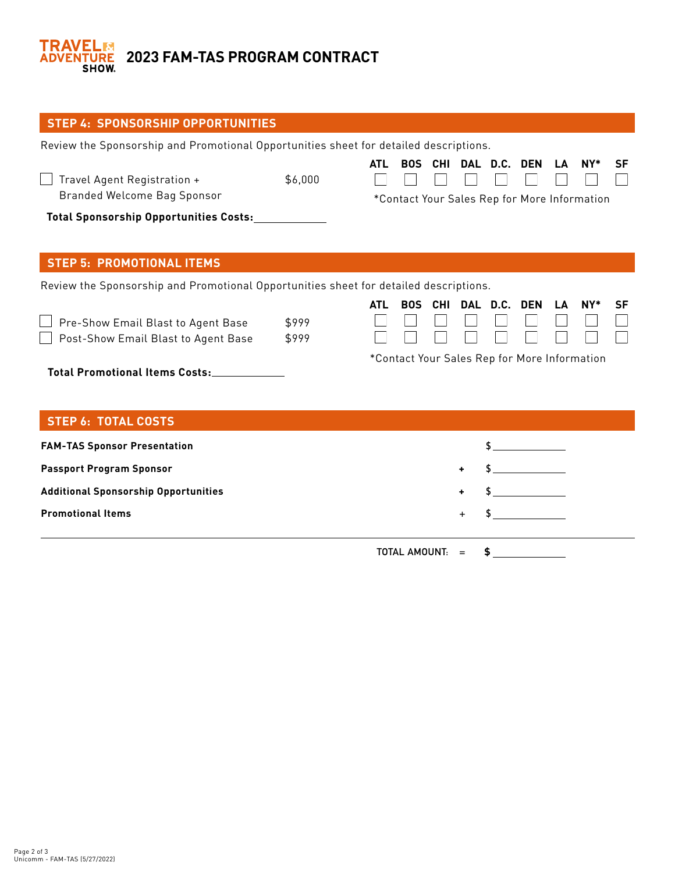

| <b>STEP 4: SPONSORSHIP OPPORTUNITIES</b>                                              |                |            |                      |  |           |              |            |    |                                                        |    |
|---------------------------------------------------------------------------------------|----------------|------------|----------------------|--|-----------|--------------|------------|----|--------------------------------------------------------|----|
| Review the Sponsorship and Promotional Opportunities sheet for detailed descriptions. |                |            |                      |  |           |              |            |    |                                                        |    |
| Travel Agent Registration +<br>Branded Welcome Bag Sponsor                            | \$6,000        | <b>ATL</b> | <b>BOS</b>           |  |           | CHI DAL D.C. | <b>DEN</b> | LA | $NY^*$<br>*Contact Your Sales Rep for More Information | SF |
| Total Sponsorship Opportunities Costs:                                                |                |            |                      |  |           |              |            |    |                                                        |    |
|                                                                                       |                |            |                      |  |           |              |            |    |                                                        |    |
| <b>STEP 5: PROMOTIONAL ITEMS</b>                                                      |                |            |                      |  |           |              |            |    |                                                        |    |
| Review the Sponsorship and Promotional Opportunities sheet for detailed descriptions. |                |            |                      |  |           |              |            |    |                                                        |    |
| Pre-Show Email Blast to Agent Base<br>Post-Show Email Blast to Agent Base             | \$999<br>\$999 | <b>ATL</b> | <b>BOS</b>           |  |           | CHI DAL D.C. | <b>DEN</b> | IΔ | $NY^*$                                                 | SF |
| *Contact Your Sales Rep for More Information<br><b>Total Promotional Items Costs:</b> |                |            |                      |  |           |              |            |    |                                                        |    |
| <b>STEP 6: TOTAL COSTS</b>                                                            |                |            |                      |  |           |              |            |    |                                                        |    |
| <b>FAM-TAS Sponsor Presentation</b>                                                   |                |            |                      |  |           |              |            |    |                                                        |    |
| <b>Passport Program Sponsor</b>                                                       |                |            |                      |  |           |              |            |    |                                                        |    |
| <b>Additional Sponsorship Opportunities</b>                                           |                |            |                      |  |           |              |            |    |                                                        |    |
| <b>Promotional Items</b>                                                              |                |            |                      |  | $\ddot{}$ |              |            |    |                                                        |    |
|                                                                                       |                |            | <b>TOTAL AMOUNT:</b> |  | $=$       | \$           |            |    |                                                        |    |